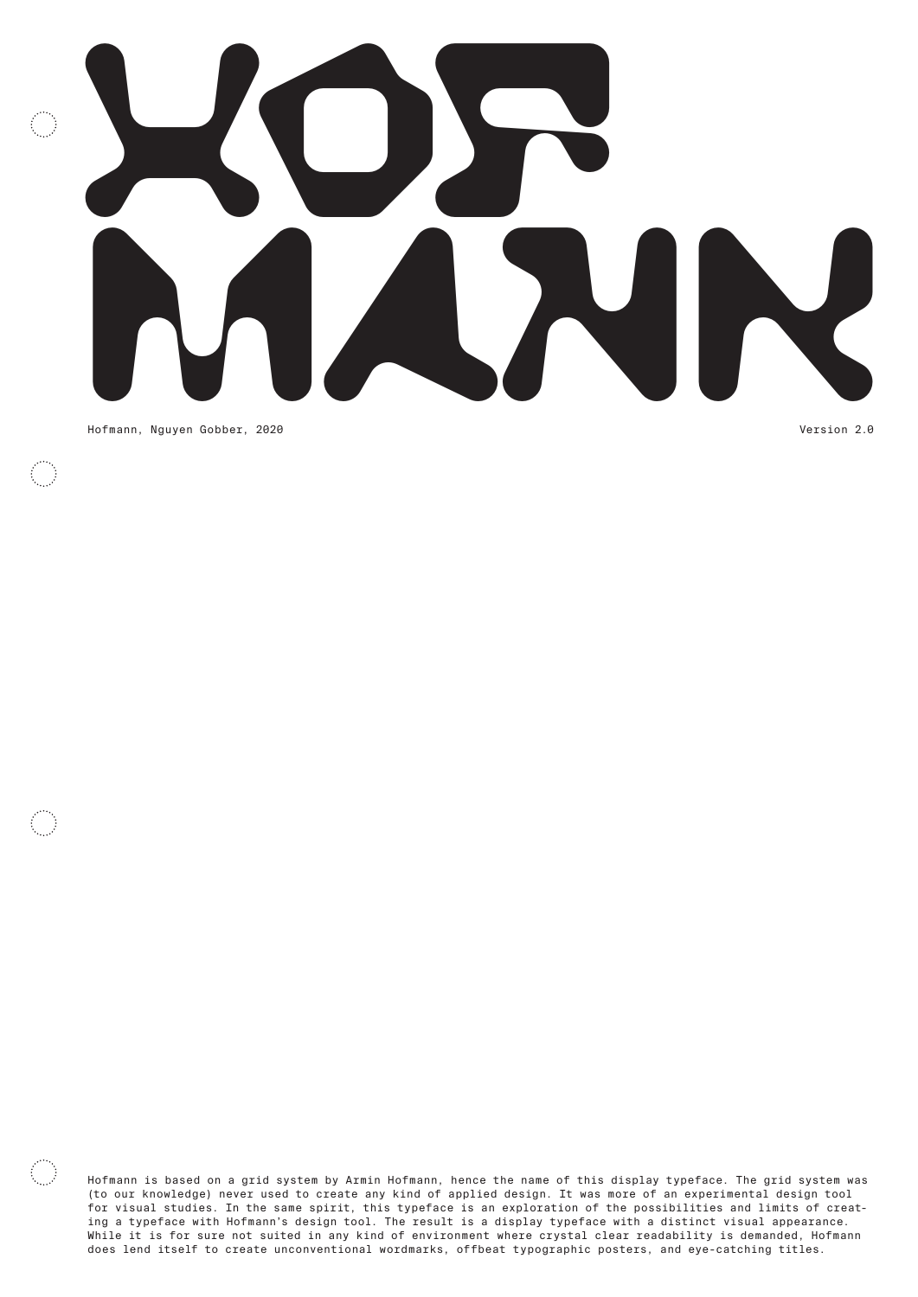

 $\mathbf{r}$ 

Hofmann is based on a grid system by Armin Hofmann, hence the name of this display typeface. The grid system was (to our knowledge) never used to create any kind of applied design. It was more of an experimental design tool for visual studies. In the same spirit, this typeface is an exploration of the possibilities and limits of creating a typeface with Hofmann's design tool. The result is a display typeface with a distinct visual appearance. While it is for sure not suited in any kind of environment where crystal clear readability is demanded, Hofmann does lend itself to create unconventional wordmarks, offbeat typographic posters, and eye-catching titles.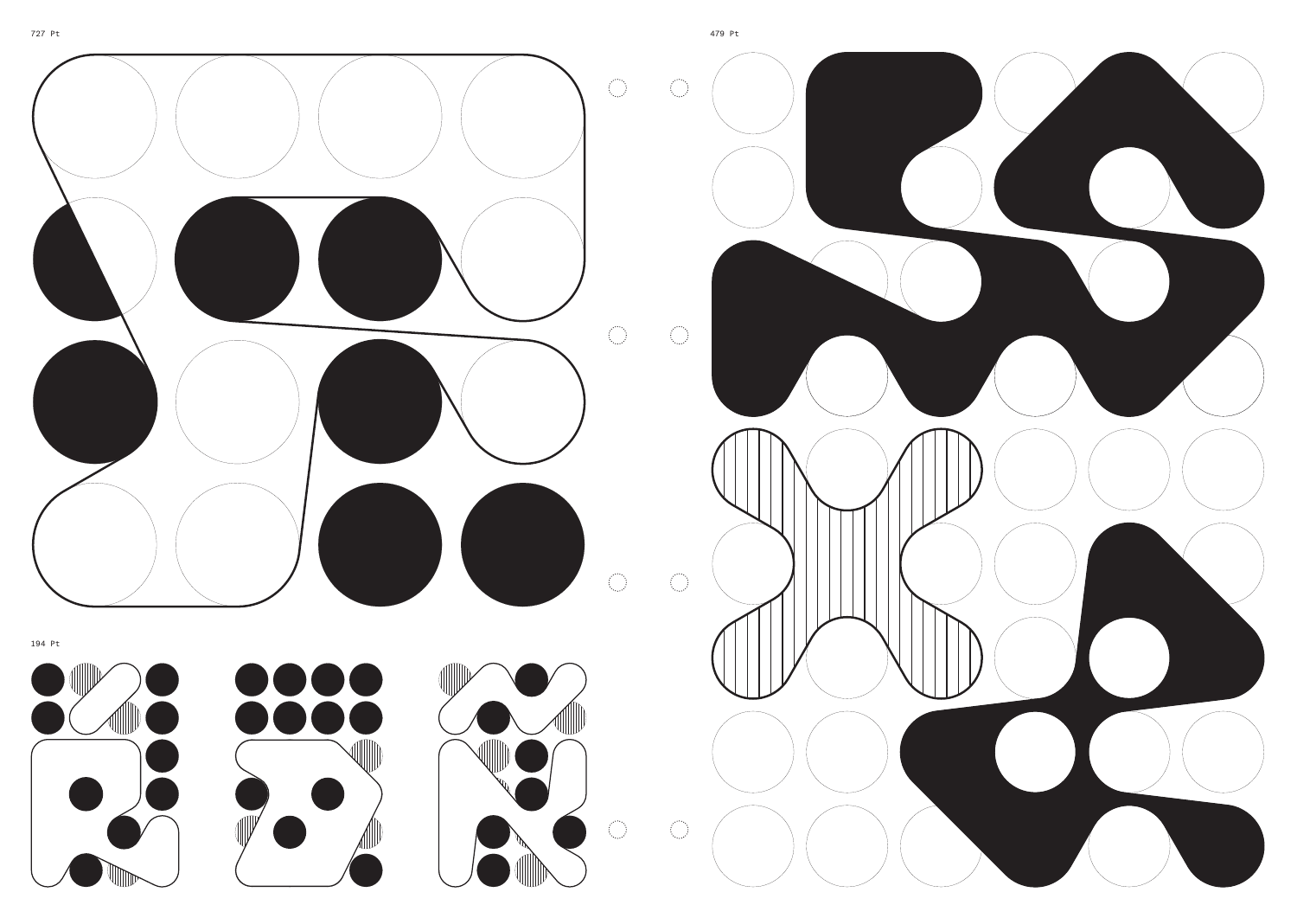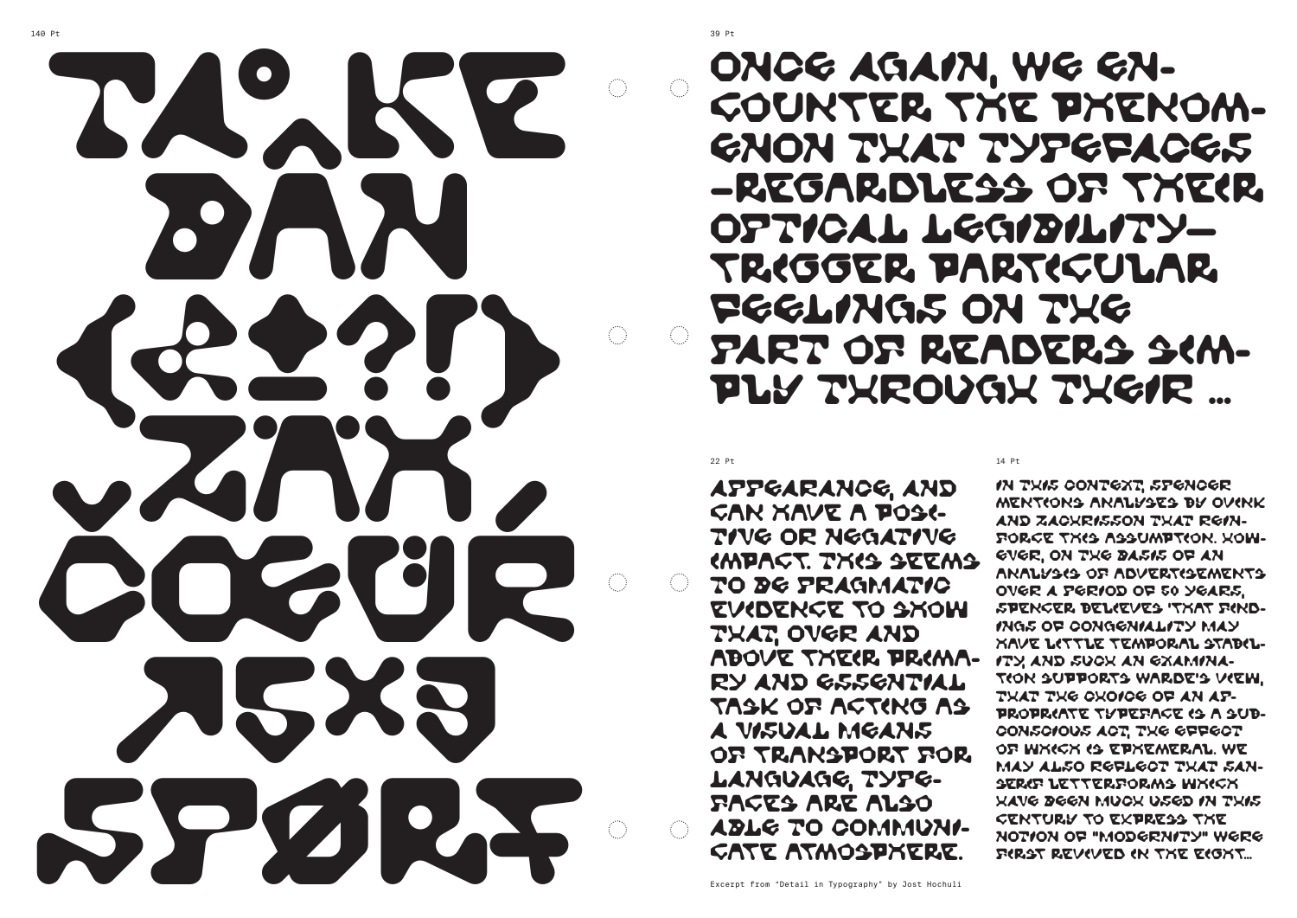Excerpt from "Detail in Typography" by Jost Hochuli

## ONCE AGAIN, WE ENcounter the phenom-ENON THAT TYPEFACES –regardless of their OPTICAL LEGIBILITY trigger particular FEELINGS ON THE PART OF READERS SIMply THROUGH THEIR …

 $22$  Pt  $14$  Pt  $14$  Pt  $14$  Pt  $14$  Pt  $14$  Pt  $14$  Pt  $14$  Pt  $14$  Pt  $14$  Pt  $14$  Pt  $14$  Pt  $14$  Pt  $14$  Pt  $14$  Pt  $14$  Pt  $14$  Pt  $14$  Pt  $14$  Pt  $14$  Pt  $14$  Pt  $14$  Pt  $14$  Pt  $14$  Pt  $14$  Pt  $14$  Pt  $14$  Pt  $14$  APPEARANCE, AND can have a posi-TIVE OR NEGATIVE impact. This seems TO BE PRAGMATIC evidence to show THAT, OVER AND above their prima-RY AND ESSENTIAL task of acting as A VISUAL MEANS of transport for LANGUAGE, TYPEfaces are also ABLE TO COMMUNIcate atmosphere. IN THIS CONTEXT, SPENCER mentions analyses by Ovink AND ZACHRISSON THAT REIN-FORCE THIS ASSUMPTION. KOW-EVER, ON THE BASIS OF AN analysis of advertisements OVER A PERIOD OF 50 YEARS, Spencer believes 'that find-INGS OF CONGENIALITY MAY have little temporal stabil-ITY, AND SUCH AN EXAMINAtion supports Warde's view, THAT THE CHOICE OF AN APpropriate typeface is a sub-CONSCIOUS ACT, THE EFFECT of which is ephemeral. We MAY ALSO REFLECT THAT SANserif letterforms which HAVE BEEN MUCH USED IN THIS century to express the NOTION OF "MODERNITY" WERE first revived in the eight…